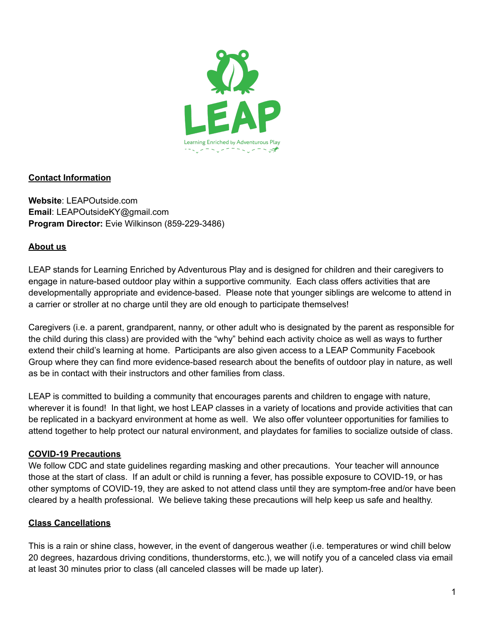

## **Contact Information**

**Website**: LEAPOutside.com **Email**: LEAPOutsideKY@gmail.com **Program Director:** Evie Wilkinson (859-229-3486)

### **About us**

LEAP stands for Learning Enriched by Adventurous Play and is designed for children and their caregivers to engage in nature-based outdoor play within a supportive community. Each class offers activities that are developmentally appropriate and evidence-based. Please note that younger siblings are welcome to attend in a carrier or stroller at no charge until they are old enough to participate themselves!

Caregivers (i.e. a parent, grandparent, nanny, or other adult who is designated by the parent as responsible for the child during this class) are provided with the "why" behind each activity choice as well as ways to further extend their child's learning at home. Participants are also given access to a LEAP Community Facebook Group where they can find more evidence-based research about the benefits of outdoor play in nature, as well as be in contact with their instructors and other families from class.

LEAP is committed to building a community that encourages parents and children to engage with nature, wherever it is found! In that light, we host LEAP classes in a variety of locations and provide activities that can be replicated in a backyard environment at home as well. We also offer volunteer opportunities for families to attend together to help protect our natural environment, and playdates for families to socialize outside of class.

### **COVID-19 Precautions**

We follow CDC and state guidelines regarding masking and other precautions. Your teacher will announce those at the start of class. If an adult or child is running a fever, has possible exposure to COVID-19, or has other symptoms of COVID-19, they are asked to not attend class until they are symptom-free and/or have been cleared by a health professional. We believe taking these precautions will help keep us safe and healthy.

### **Class Cancellations**

This is a rain or shine class, however, in the event of dangerous weather (i.e. temperatures or wind chill below 20 degrees, hazardous driving conditions, thunderstorms, etc.), we will notify you of a canceled class via email at least 30 minutes prior to class (all canceled classes will be made up later).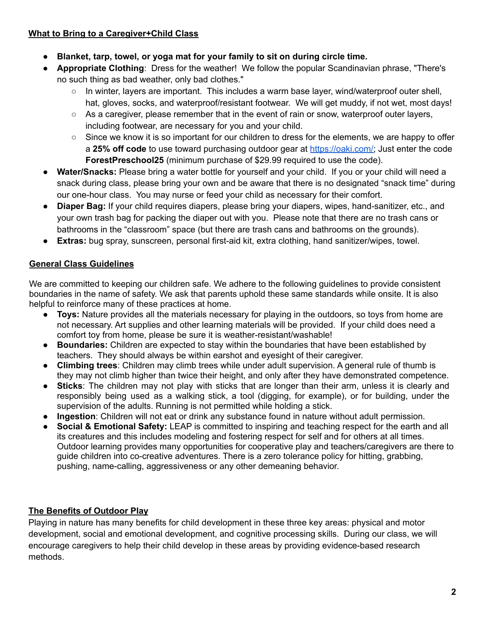## **What to Bring to a Caregiver+Child Class**

- **Blanket, tarp, towel, or yoga mat for your family to sit on during circle time.**
- **Appropriate Clothing**: Dress for the weather! We follow the popular Scandinavian phrase, "There's no such thing as bad weather, only bad clothes."
	- In winter, layers are important. This includes a warm base layer, wind/waterproof outer shell, hat, gloves, socks, and waterproof/resistant footwear. We will get muddy, if not wet, most days!
	- $\circ$  As a caregiver, please remember that in the event of rain or snow, waterproof outer layers, including footwear, are necessary for you and your child.
	- $\circ$  Since we know it is so important for our children to dress for the elements, we are happy to offer a **25% off code** to use toward purchasing outdoor gear at [https://oaki.com/;](https://oaki.com/) Just enter the code **ForestPreschool25** (minimum purchase of \$29.99 required to use the code).
- **● Water/Snacks:** Please bring a water bottle for yourself and your child. If you or your child will need a snack during class, please bring your own and be aware that there is no designated "snack time" during our one-hour class. You may nurse or feed your child as necessary for their comfort.
- **Diaper Bag:** If your child requires diapers, please bring your diapers, wipes, hand-sanitizer, etc., and your own trash bag for packing the diaper out with you. Please note that there are no trash cans or bathrooms in the "classroom" space (but there are trash cans and bathrooms on the grounds).
- **Extras:** bug spray, sunscreen, personal first-aid kit, extra clothing, hand sanitizer/wipes, towel.

## **General Class Guidelines**

We are committed to keeping our children safe. We adhere to the following quidelines to provide consistent boundaries in the name of safety. We ask that parents uphold these same standards while onsite. It is also helpful to reinforce many of these practices at home.

- **Toys:** Nature provides all the materials necessary for playing in the outdoors, so toys from home are not necessary. Art supplies and other learning materials will be provided. If your child does need a comfort toy from home, please be sure it is weather-resistant/washable!
- **Boundaries:** Children are expected to stay within the boundaries that have been established by teachers. They should always be within earshot and eyesight of their caregiver.
- **Climbing trees**: Children may climb trees while under adult supervision. A general rule of thumb is they may not climb higher than twice their height, and only after they have demonstrated competence.
- **Sticks**: The children may not play with sticks that are longer than their arm, unless it is clearly and responsibly being used as a walking stick, a tool (digging, for example), or for building, under the supervision of the adults. Running is not permitted while holding a stick.
- **Ingestion**: Children will not eat or drink any substance found in nature without adult permission.
- **Social & Emotional Safety:** LEAP is committed to inspiring and teaching respect for the earth and all its creatures and this includes modeling and fostering respect for self and for others at all times. Outdoor learning provides many opportunities for cooperative play and teachers/caregivers are there to guide children into co-creative adventures. There is a zero tolerance policy for hitting, grabbing, pushing, name-calling, aggressiveness or any other demeaning behavior.

## **The Benefits of Outdoor Play**

Playing in nature has many benefits for child development in these three key areas: physical and motor development, social and emotional development, and cognitive processing skills. During our class, we will encourage caregivers to help their child develop in these areas by providing evidence-based research methods.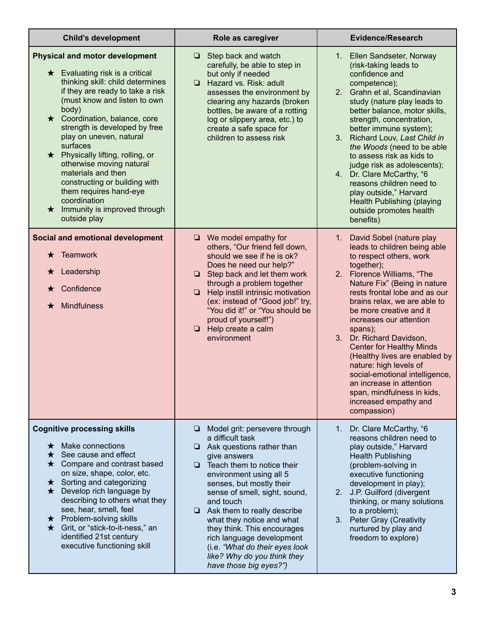| <b>Child's development</b>                                                                                                                                                                                                                                                                                                                                                                                                                                                                                                               | Role as caregiver                                                                                                                                                                                                                                                                                                                                                                                                                                                              | <b>Evidence/Research</b>                                                                                                                                                                                                                                                                                                                                                                                                                                                                                                                                           |
|------------------------------------------------------------------------------------------------------------------------------------------------------------------------------------------------------------------------------------------------------------------------------------------------------------------------------------------------------------------------------------------------------------------------------------------------------------------------------------------------------------------------------------------|--------------------------------------------------------------------------------------------------------------------------------------------------------------------------------------------------------------------------------------------------------------------------------------------------------------------------------------------------------------------------------------------------------------------------------------------------------------------------------|--------------------------------------------------------------------------------------------------------------------------------------------------------------------------------------------------------------------------------------------------------------------------------------------------------------------------------------------------------------------------------------------------------------------------------------------------------------------------------------------------------------------------------------------------------------------|
| <b>Physical and motor development</b><br>$\star$ Evaluating risk is a critical<br>thinking skill: child determines<br>if they are ready to take a risk<br>(must know and listen to own<br>body)<br>$\star$ Coordination, balance, core<br>strength is developed by free<br>play on uneven, natural<br>surfaces<br>★ Physically lifting, rolling, or<br>otherwise moving natural<br>materials and then<br>constructing or building with<br>them requires hand-eye<br>coordination<br>$\star$ Immunity is improved through<br>outside play | Step back and watch<br>. .<br>carefully, be able to step in<br>but only if needed<br>Hazard vs. Risk: adult<br><b>□</b><br>assesses the environment by<br>clearing any hazards (broken<br>bottles, be aware of a rotting<br>log or slippery area, etc.) to<br>create a safe space for<br>children to assess risk                                                                                                                                                               | 1. Ellen Sandseter, Norway<br>(risk-taking leads to<br>confidence and<br>competence);<br>2. Grahn et al, Scandinavian<br>study (nature play leads to<br>better balance, motor skills,<br>strength, concentration,<br>better immune system);<br>Richard Louv, Last Child in<br>3.<br>the Woods (need to be able<br>to assess risk as kids to<br>judge risk as adolescents);<br>4. Dr. Clare McCarthy, "6<br>reasons children need to<br>play outside," Harvard<br>Health Publishing (playing<br>outside promotes health<br>benefits)                                |
| Social and emotional development<br>$\star$ Teamwork<br>Leadership<br>$\star$<br>Confidence<br>★<br><b>Mindfulness</b><br>$\bigstar$                                                                                                                                                                                                                                                                                                                                                                                                     | $\Box$ We model empathy for<br>others, "Our friend fell down,<br>should we see if he is ok?<br>Does he need our help?"<br>$\Box$ Step back and let them work<br>through a problem together<br>$\Box$<br>Help instill intrinsic motivation<br>(ex: instead of "Good job!" try,<br>"You did it!" or "You should be<br>proud of yourself!")<br>$\Box$ Help create a calm<br>environment                                                                                           | 1. David Sobel (nature play<br>leads to children being able<br>to respect others, work<br>together);<br>2. Florence Williams, "The<br>Nature Fix" (Being in nature<br>rests frontal lobe and as our<br>brains relax, we are able to<br>be more creative and it<br>increases our attention<br>spans);<br>3. Dr. Richard Davidson,<br><b>Center for Healthy Minds</b><br>(Healthy lives are enabled by<br>nature: high levels of<br>social-emotional intelligence,<br>an increase in attention<br>span, mindfulness in kids,<br>increased empathy and<br>compassion) |
| <b>Cognitive processing skills</b><br>Make connections<br>$\star$<br>$\star$ See cause and effect<br>$\star$ Compare and contrast based<br>on size, shape, color, etc.<br>$\star$ Sorting and categorizing<br>$\star$ Develop rich language by<br>describing to others what they<br>see, hear, smell, feel<br>$\star$ Problem-solving skills<br>★ Grit, or "stick-to-it-ness," an<br>identified 21st century<br>executive functioning skill                                                                                              | Model grit: persevere through<br>u.<br>a difficult task<br>Ask questions rather than<br>Q.<br>give answers<br>$\Box$ Teach them to notice their<br>environment using all 5<br>senses, but mostly their<br>sense of smell, sight, sound,<br>and touch<br>$\Box$ Ask them to really describe<br>what they notice and what<br>they think. This encourages<br>rich language development<br>(i.e. "What do their eyes look<br>like? Why do you think they<br>have those big eyes?") | Dr. Clare McCarthy, "6<br>1.<br>reasons children need to<br>play outside," Harvard<br><b>Health Publishing</b><br>(problem-solving in<br>executive functioning<br>development in play);<br>2. J.P. Guilford (divergent<br>thinking, or many solutions<br>to a problem);<br>3. Peter Gray (Creativity<br>nurtured by play and<br>freedom to explore)                                                                                                                                                                                                                |